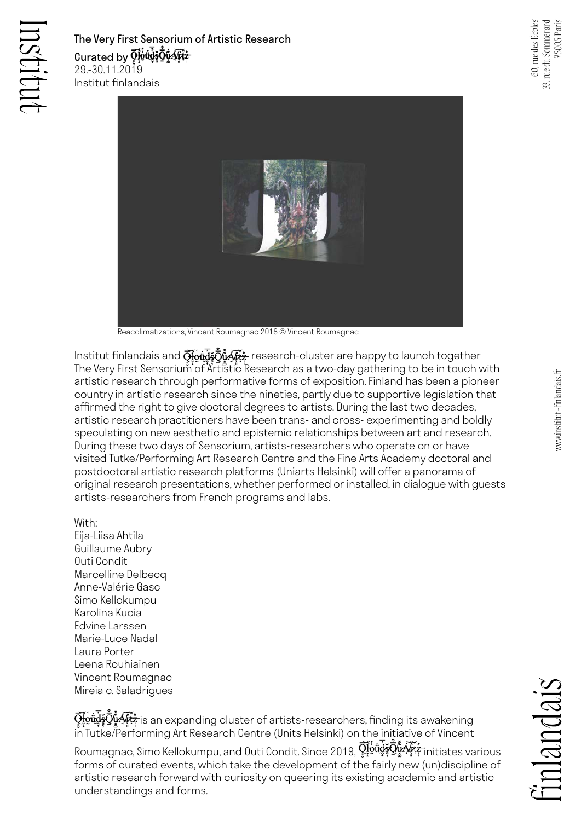The Very First Sensorium of Artistic Research Curated by  $\bar{\Omega}^{\rm 6d}_{\rm 2}$ र्णये के प्रसिद्य 29.-30.11.2019 Institut finlandais



Reacclimatizations, Vincent Roumagnac 2018 © Vincent Roumagnac

Institut finlandais and  $\bar{\mathbf{Q}}$  wire  $\bar{\mathbf{Q}}$  in  $\bar{\mathbf{Q}}$  research-cluster are happy to launch together The Very First Sensorium of Artistic Research as a two-day gathering to be in touch with artistic research through performative forms of exposition. Finland has been a pioneer country in artistic research since the nineties, partly due to supportive legislation that affirmed the right to give doctoral degrees to artists. During the last two decades, artistic research practitioners have been trans- and cross- experimenting and boldly speculating on new aesthetic and epistemic relationships between art and research. During these two days of Sensorium, artists-researchers who operate on or have visited Tutke/Performing Art Research Centre and the Fine Arts Academy doctoral and postdoctoral artistic research platforms (Uniarts Helsinki) will offer a panorama of original research presentations, whether performed or installed, in dialogue with guests artists-researchers from French programs and labs.

With:

Eija-Liisa Ahtila Guillaume Aubry Outi Condit Marcelline Delbecq Anne-Valérie Gasc Simo Kellokumpu Karolina Kucia Edvine Larssen Marie-Luce Nadal Laura Porter Leena Rouhiainen Vincent Roumagnac Mireia c. Saladrigues

 $\bar{\mathbb{Q}}$ wû@ZWA#; is an expanding cluster of artists-researchers, finding its awakening in Tutke/Performing Art Research Centre (Units Helsinki) on the initiative of Vincent

Roumagnac, Simo Kellokumpu, and Outi Condit. Since 2019,  $\bar{\mathrm{Q}}_t^{\mathrm{tot}}$ y  $\bar{\mathrm{Q}}_s^{\mathrm{tot}}$ initiates various forms of curated events, which take the development of the fairly new (un)discipline of artistic research forward with curiosity on queering its existing academic and artistic understandings and forms.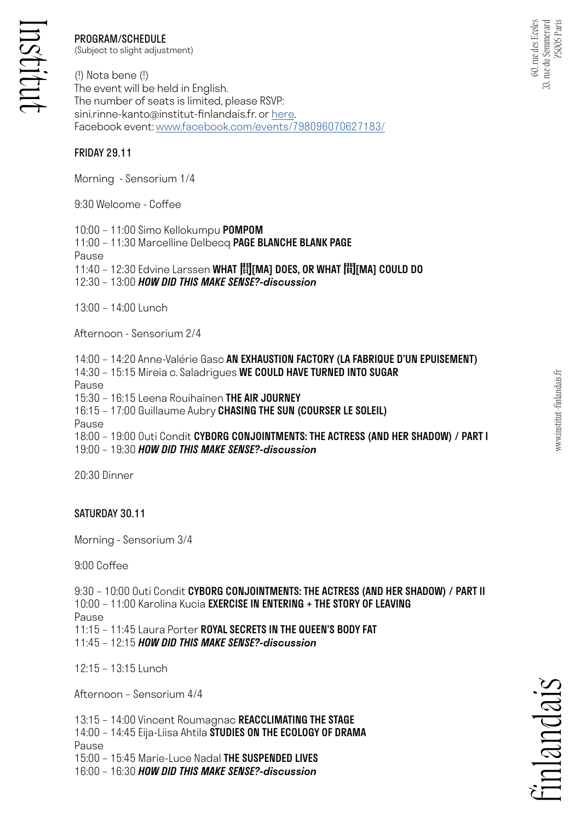# PROGRAM/SCHEDULE

(Subject to slight adjustment)

(!) Nota bene (!) The event will be held in English. The number of seats is limited, please RSVP: sini.rinne-kanto@institut-finlandais.fr. or [here.](https://docs.google.com/forms/d/e/1FAIpQLSdAcxPiNRJuRh-s4KQU3Zt0bYiMw44kcoAD0xoA-oSM9MkWjA/viewform) Facebook event: [www.facebook.com/events/798096070627183/](https://www.facebook.com/events/798096070627183/)

### FRIDAY 29.11

Morning - Sensorium 1/4

9:30 Welcome - Coffee

10:00 – 11:00 Simo Kellokumpu POMPOM

11:00 – 11:30 Marcelline Delbecq PAGE BLANCHE BLANK PAGE

Pause

11:40 - 12:30 Edvine Larssen WHAT 間[MA] DOES, OR WHAT 間[MA] COULD DO

12:30 – 13:00 *HOW DID THIS MAKE SENSE?-discussion*

13:00 – 14:00 Lunch

Afternoon - Sensorium 2/4

14:00 – 14:20 Anne-Valérie Gasc AN EXHAUSTION FACTORY (LA FABRIQUE D'UN EPUISEMENT)

14:30 – 15:15 Mireia c. Saladrigues WE COULD HAVE TURNED INTO SUGAR

Pause

15:30 – 16:15 Leena Rouihainen THE AIR JOURNEY

16:15 – 17:00 Guillaume Aubry CHASING THE SUN (COURSER LE SOLEIL)

Pause

18:00 – 19:00 Outi Condit CYBORG CONJOINTMENTS: THE ACTRESS (AND HER SHADOW) / PART I 19:00 – 19:30 *HOW DID THIS MAKE SENSE?-discussion*

20:30 Dinner

#### SATURDAY 30.11

Morning - Sensorium 3/4

9:00 Coffee

9:30 – 10:00 Outi Condit CYBORG CONJOINTMENTS: THE ACTRESS (AND HER SHADOW) / PART II 10:00 – 11:00 Karolina Kucia EXERCISE IN ENTERING + THE STORY OF LEAVING Pause

11:15 – 11:45 Laura Porter ROYAL SECRETS IN THE QUEEN'S BODY FAT

11:45 – 12:15 *HOW DID THIS MAKE SENSE?-discussion*

12:15 – 13:15 Lunch

Afternoon – Sensorium 4/4

13:15 – 14:00 Vincent Roumagnac REACCLIMATING THE STAGE

14:00 – 14:45 Eija-Liisa Ahtila STUDIES ON THE ECOLOGY OF DRAMA

Pause

15:00 – 15:45 Marie-Luce Nadal THE SUSPENDED LIVES

16:00 – 16:30 *HOW DID THIS MAKE SENSE?-discussion*

inlandais

60, rue des Écoles 33, rue du Sommerard 75005 Paris

60, rue des Écoles

, rue du Sommerard<br>75005 Paris

 $33,$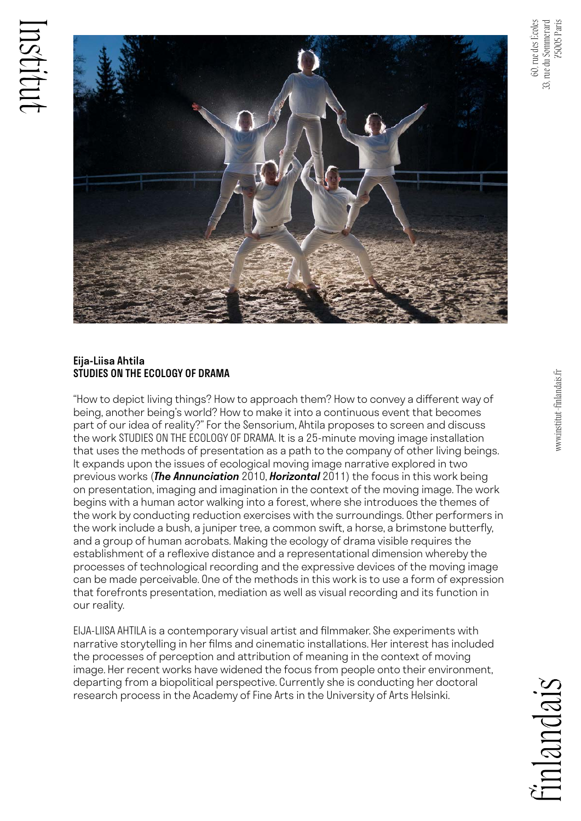



## Eija-Liisa Ahtila STUDIES ON THE ECOLOGY OF DRAMA

"How to depict living things? How to approach them? How to convey a different way of being, another being's world? How to make it into a continuous event that becomes part of our idea of reality?" For the Sensorium, Ahtila proposes to screen and discuss the work STUDIES ON THE ECOLOGY OF DRAMA. It is a 25-minute moving image installation that uses the methods of presentation as a path to the company of other living beings. It expands upon the issues of ecological moving image narrative explored in two previous works (*The Annunciation* 2010, *Horizontal* 2011) the focus in this work being on presentation, imaging and imagination in the context of the moving image. The work begins with a human actor walking into a forest, where she introduces the themes of the work by conducting reduction exercises with the surroundings. Other performers in the work include a bush, a juniper tree, a common swift, a horse, a brimstone butterfly, and a group of human acrobats. Making the ecology of drama visible requires the establishment of a reflexive distance and a representational dimension whereby the processes of technological recording and the expressive devices of the moving image can be made perceivable. One of the methods in this work is to use a form of expression that forefronts presentation, mediation as well as visual recording and its function in our reality.

EIJA-LIISA AHTILA is a contemporary visual artist and filmmaker. She experiments with narrative storytelling in her films and cinematic installations. Her interest has included the processes of perception and attribution of meaning in the context of moving image. Her recent works have widened the focus from people onto their environment, departing from a biopolitical perspective. Currently she is conducting her doctoral research process in the Academy of Fine Arts in the University of Arts Helsinki.

alandais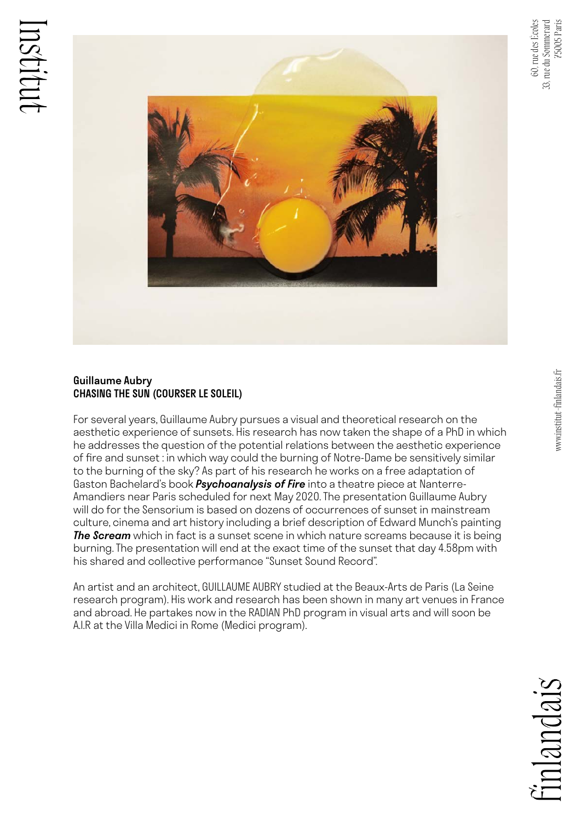

## Guillaume Aubry CHASING THE SUN (COURSER LE SOLEIL)

For several years, Guillaume Aubry pursues a visual and theoretical research on the aesthetic experience of sunsets. His research has now taken the shape of a PhD in which he addresses the question of the potential relations between the aesthetic experience of fire and sunset : in which way could the burning of Notre-Dame be sensitively similar to the burning of the sky? As part of his research he works on a free adaptation of Gaston Bachelard's book *Psychoanalysis of Fire* into a theatre piece at Nanterre-Amandiers near Paris scheduled for next May 2020. The presentation Guillaume Aubry will do for the Sensorium is based on dozens of occurrences of sunset in mainstream culture, cinema and art history including a brief description of Edward Munch's painting *The Scream* which in fact is a sunset scene in which nature screams because it is being burning. The presentation will end at the exact time of the sunset that day 4.58pm with his shared and collective performance "Sunset Sound Record".

An artist and an architect, GUILLAUME AUBRY studied at the Beaux-Arts de Paris (La Seine research program). His work and research has been shown in many art venues in France and abroad. He partakes now in the RADIAN PhD program in visual arts and will soon be A.I.R at the Villa Medici in Rome (Medici program).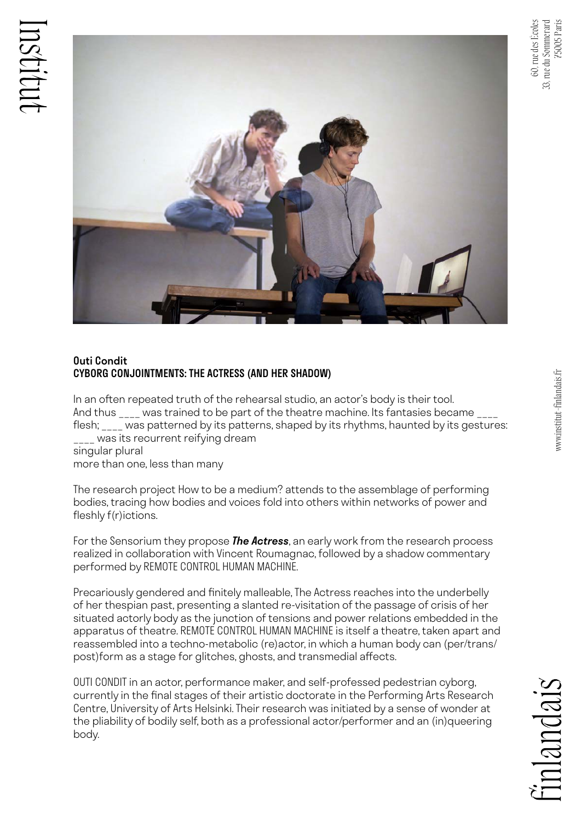

## Outi Condit CYBORG CONJOINTMENTS: THE ACTRESS (AND HER SHADOW)

In an often repeated truth of the rehearsal studio, an actor's body is their tool. And thus \_\_\_\_ was trained to be part of the theatre machine. Its fantasies became \_\_\_\_ flesh; \_\_\_\_ was patterned by its patterns, shaped by its rhythms, haunted by its gestures: \_\_\_\_ was its recurrent reifying dream singular plural

more than one, less than many

The research project How to be a medium? attends to the assemblage of performing bodies, tracing how bodies and voices fold into others within networks of power and fleshly f(r)ictions.

For the Sensorium they propose *The Actress*, an early work from the research process realized in collaboration with Vincent Roumagnac, followed by a shadow commentary performed by REMOTE CONTROL HUMAN MACHINE.

Precariously gendered and finitely malleable, The Actress reaches into the underbelly of her thespian past, presenting a slanted re-visitation of the passage of crisis of her situated actorly body as the junction of tensions and power relations embedded in the apparatus of theatre. REMOTE CONTROL HUMAN MACHINE is itself a theatre, taken apart and reassembled into a techno-metabolic (re)actor, in which a human body can (per/trans/ post)form as a stage for glitches, ghosts, and transmedial affects.

OUTI CONDIT in an actor, performance maker, and self-professed pedestrian cyborg, currently in the final stages of their artistic doctorate in the Performing Arts Research Centre, University of Arts Helsinki. Their research was initiated by a sense of wonder at the pliability of bodily self, both as a professional actor/performer and an (in)queering body.

 $n|q|n|q|s$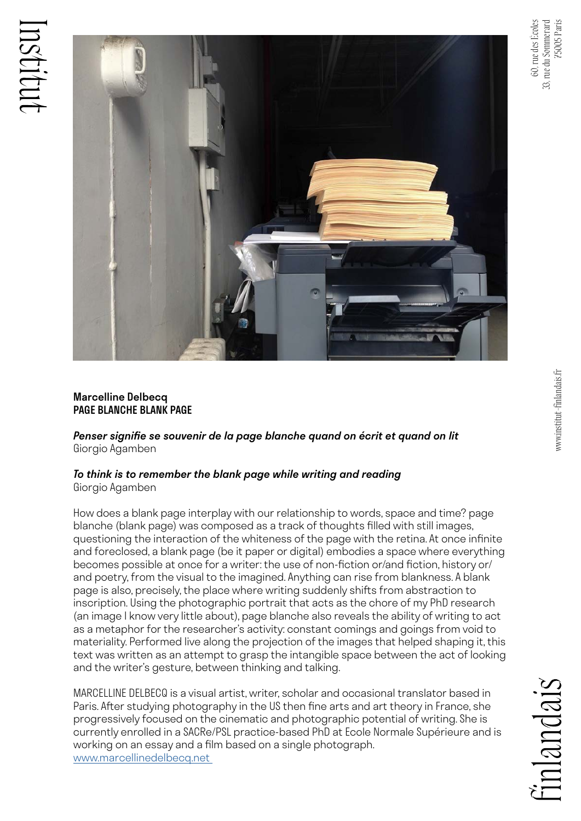

## Marcelline Delbecq PAGE BLANCHE BLANK PAGE

*Penser signifie se souvenir de la page blanche quand on écrit et quand on lit*  Giorgio Agamben

## *To think is to remember the blank page while writing and reading*  Giorgio Agamben

How does a blank page interplay with our relationship to words, space and time? page blanche (blank page) was composed as a track of thoughts filled with still images, questioning the interaction of the whiteness of the page with the retina. At once infinite and foreclosed, a blank page (be it paper or digital) embodies a space where everything becomes possible at once for a writer: the use of non-fiction or/and fiction, history or/ and poetry, from the visual to the imagined. Anything can rise from blankness. A blank page is also, precisely, the place where writing suddenly shifts from abstraction to inscription. Using the photographic portrait that acts as the chore of my PhD research (an image I know very little about), page blanche also reveals the ability of writing to act as a metaphor for the researcher's activity: constant comings and goings from void to materiality. Performed live along the projection of the images that helped shaping it, this text was written as an attempt to grasp the intangible space between the act of looking and the writer's gesture, between thinking and talking.

MARCELLINE DELBECQ is a visual artist, writer, scholar and occasional translator based in Paris. After studying photography in the US then fine arts and art theory in France, she progressively focused on the cinematic and photographic potential of writing. She is currently enrolled in a SACRe/PSL practice-based PhD at Ecole Normale Supérieure and is working on an essay and a film based on a single photograph. [www.marcellinedelbecq.net](http://www.marcellinedelbecq.net ) 

 $n|a$ ncais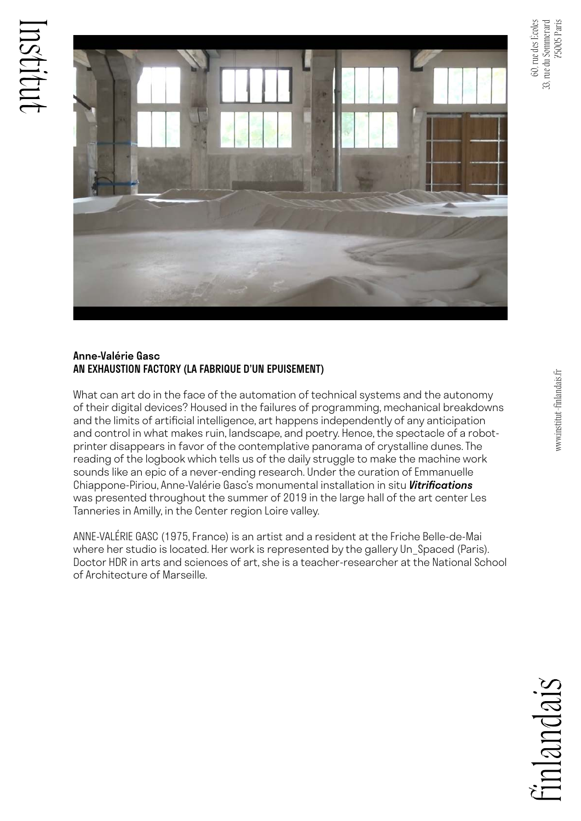

75005 Paris



### Anne-Valérie Gasc AN EXHAUSTION FACTORY (LA FABRIQUE D'UN EPUISEMENT)

What can art do in the face of the automation of technical systems and the autonomy of their digital devices? Housed in the failures of programming, mechanical breakdowns and the limits of artificial intelligence, art happens independently of any anticipation and control in what makes ruin, landscape, and poetry. Hence, the spectacle of a robotprinter disappears in favor of the contemplative panorama of crystalline dunes. The reading of the logbook which tells us of the daily struggle to make the machine work sounds like an epic of a never-ending research. Under the curation of Emmanuelle Chiappone-Piriou, Anne-Valérie Gasc's monumental installation in situ *Vitrifications*  was presented throughout the summer of 2019 in the large hall of the art center Les Tanneries in Amilly, in the Center region Loire valley.

ANNE-VALÉRIE GASC (1975, France) is an artist and a resident at the Friche Belle-de-Mai where her studio is located. Her work is represented by the gallery Un Spaced (Paris). Doctor HDR in arts and sciences of art, she is a teacher-researcher at the National School of Architecture of Marseille.

alandais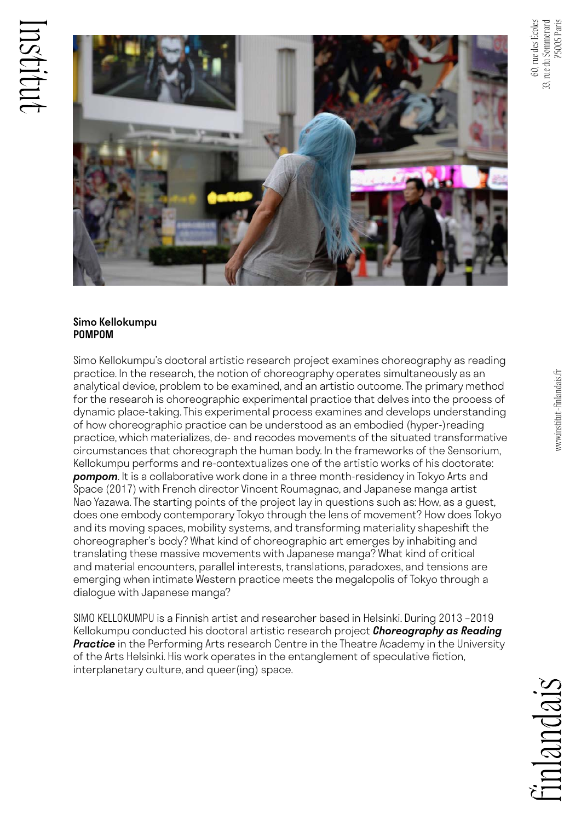



## Simo Kellokumpu POMPOM

Simo Kellokumpu's doctoral artistic research project examines choreography as reading practice. In the research, the notion of choreography operates simultaneously as an analytical device, problem to be examined, and an artistic outcome. The primary method for the research is choreographic experimental practice that delves into the process of dynamic place-taking. This experimental process examines and develops understanding of how choreographic practice can be understood as an embodied (hyper-)reading practice, which materializes, de- and recodes movements of the situated transformative circumstances that choreograph the human body. In the frameworks of the Sensorium, Kellokumpu performs and re-contextualizes one of the artistic works of his doctorate: *pompom*. It is a collaborative work done in a three month-residency in Tokyo Arts and Space (2017) with French director Vincent Roumagnac, and Japanese manga artist Nao Yazawa. The starting points of the project lay in questions such as: How, as a guest, does one embody contemporary Tokyo through the lens of movement? How does Tokyo and its moving spaces, mobility systems, and transforming materiality shapeshift the choreographer's body? What kind of choreographic art emerges by inhabiting and translating these massive movements with Japanese manga? What kind of critical and material encounters, parallel interests, translations, paradoxes, and tensions are emerging when intimate Western practice meets the megalopolis of Tokyo through a dialogue with Japanese manga?

SIMO KELLOKUMPU is a Finnish artist and researcher based in Helsinki. During 2013 –2019 Kellokumpu conducted his doctoral artistic research project *Choreography as Reading Practice* in the Performing Arts research Centre in the Theatre Academy in the University of the Arts Helsinki. His work operates in the entanglement of speculative fiction, interplanetary culture, and queer(ing) space.

inlandais

75005 Paris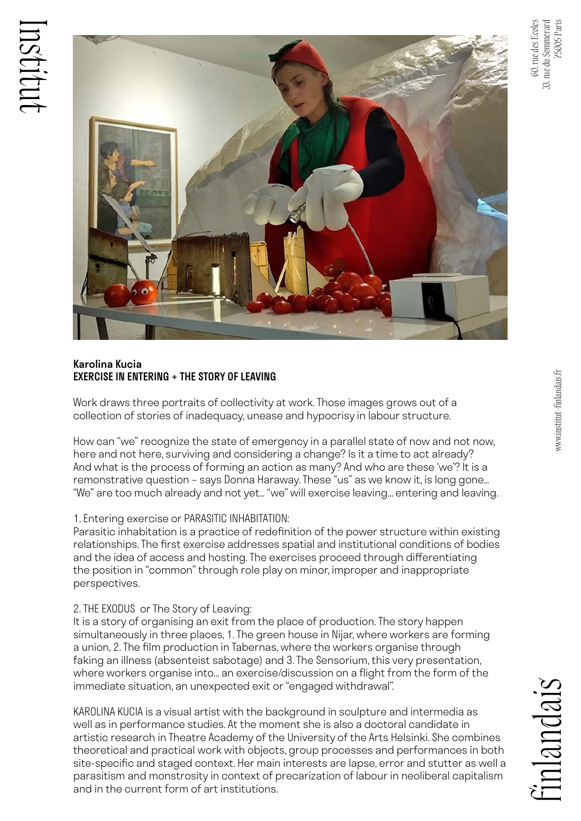

## Karolina Kucia EXERCISE IN ENTERING + THE STORY OF LEAVING

Work draws three portraits of collectivity at work. Those images grows out of a collection of stories of inadequacy, unease and hypocrisy in labour structure.

How can "we" recognize the state of emergency in a parallel state of now and not now, here and not here, surviving and considering a change? Is it a time to act already? And what is the process of forming an action as many? And who are these 'we'? It is a remonstrative question – says Donna Haraway. These "us" as we know it, is long gone… "We" are too much already and not yet… "we" will exercise leaving... entering and leaving.

## 1. Entering exercise or PARASITIC INHABITATION:

Parasitic inhabitation is a practice of redefinition of the power structure within existing relationships. The first exercise addresses spatial and institutional conditions of bodies and the idea of access and hosting. The exercises proceed through differentiating the position in "common" through role play on minor, improper and inappropriate perspectives.

## 2. THE EXODUS or The Story of Leaving:

It is a story of organising an exit from the place of production. The story happen simultaneously in three places, 1. The green house in Nijar, where workers are forming a union, 2. The film production in Tabernas, where the workers organise through faking an illness (absenteist sabotage) and 3. The Sensorium, this very presentation, where workers organise into... an exercise/discussion on a flight from the form of the immediate situation, an unexpected exit or "engaged withdrawal".

KAROLINA KUCIA is a visual artist with the background in sculpture and intermedia as well as in performance studies. At the moment she is also a doctoral candidate in artistic research in Theatre Academy of the University of the Arts Helsinki. She combines theoretical and practical work with objects, group processes and performances in both site-specific and staged context. Her main interests are lapse, error and stutter as well a parasitism and monstrosity in context of precarization of labour in neoliberal capitalism and in the current form of art institutions.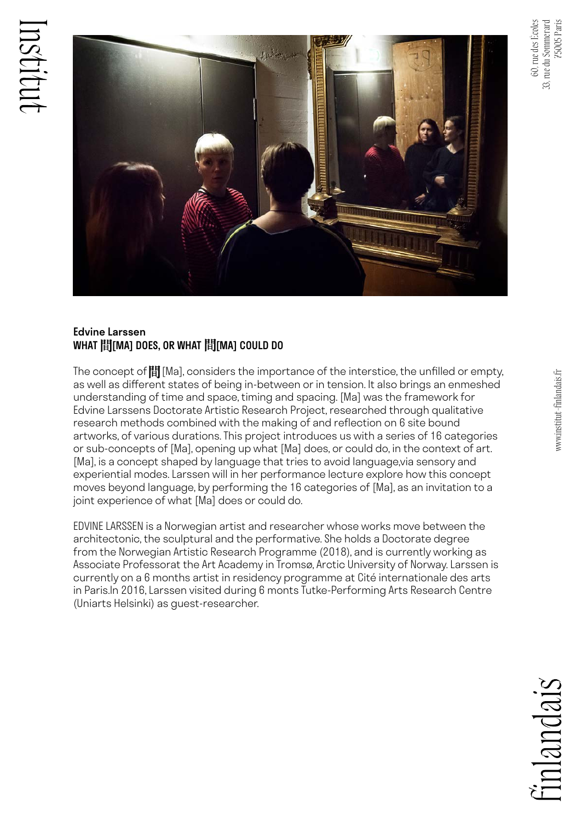

## Edvine Larssen WHAT 間[MA] DOES, OR WHAT 間[MA] COULD DO

The concept of  $\mathbb H$  [Ma], considers the importance of the interstice, the unfilled or empty, as well as different states of being in-between or in tension. It also brings an enmeshed understanding of time and space, timing and spacing. [Ma] was the framework for Edvine Larssens Doctorate Artistic Research Project, researched through qualitative research methods combined with the making of and reflection on 6 site bound artworks, of various durations. This project introduces us with a series of 16 categories or sub-concepts of [Ma], opening up what [Ma] does, or could do, in the context of art. [Ma], is a concept shaped by language that tries to avoid language,via sensory and experiential modes. Larssen will in her performance lecture explore how this concept moves beyond language, by performing the 16 categories of [Ma], as an invitation to a joint experience of what [Ma] does or could do.

EDVINE LARSSEN is a Norwegian artist and researcher whose works move between the architectonic, the sculptural and the performative. She holds a Doctorate degree from the Norwegian Artistic Research Programme (2018), and is currently working as Associate Professorat the Art Academy in Tromsø, Arctic University of Norway. Larssen is currently on a 6 months artist in residency programme at Cité internationale des arts in Paris.In 2016, Larssen visited during 6 monts Tutke-Performing Arts Research Centre (Uniarts Helsinki) as guest-researcher.

inlandais

33, rue du Sommerard 75005 Paris

33,

), rue du Sommerard<br>75005 Paris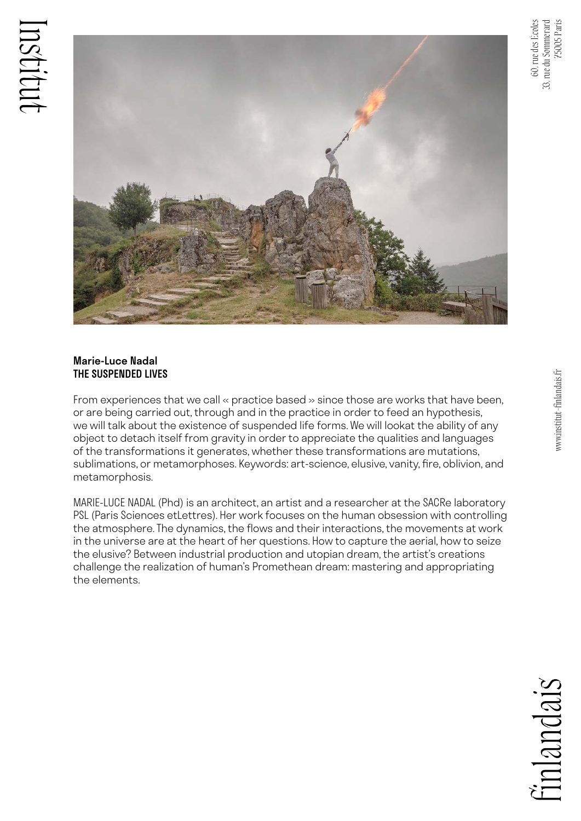

## Marie-Luce Nadal THE SUSPENDED LIVES

From experiences that we call « practice based » since those are works that have been, or are being carried out, through and in the practice in order to feed an hypothesis, we will talk about the existence of suspended life forms. We will lookat the ability of any object to detach itself from gravity in order to appreciate the qualities and languages of the transformations it generates, whether these transformations are mutations, sublimations, or metamorphoses. Keywords: art-science, elusive, vanity, fire, oblivion, and metamorphosis.

MARIE-LUCE NADAL (Phd) is an architect, an artist and a researcher at the SACRe laboratory PSL (Paris Sciences etLettres). Her work focuses on the human obsession with controlling the atmosphere. The dynamics, the flows and their interactions, the movements at work in the universe are at the heart of her questions. How to capture the aerial, how to seize the elusive? Between industrial production and utopian dream, the artist's creations challenge the realization of human's Promethean dream: mastering and appropriating the elements.

www.institut-finlandais.fr

www.institut-finlandais.fr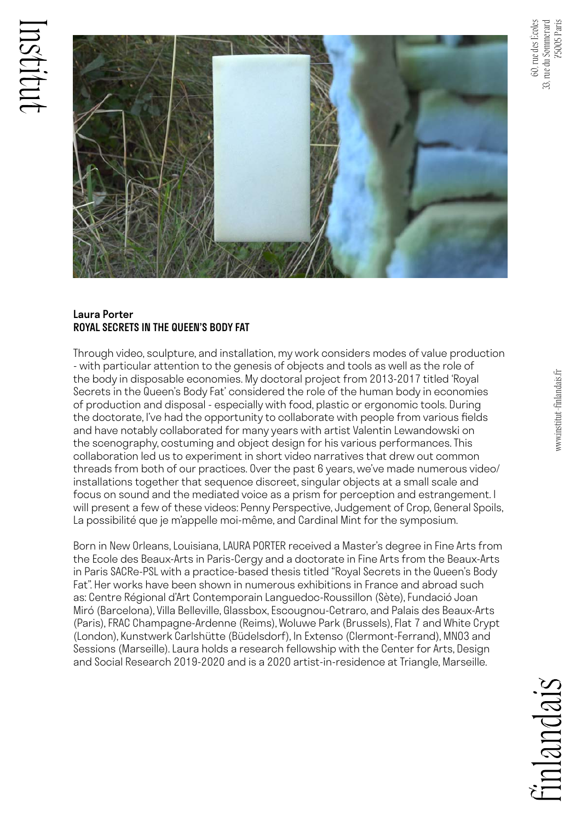

## Laura Porter ROYAL SECRETS IN THE QUEEN'S BODY FAT

Through video, sculpture, and installation, my work considers modes of value production - with particular attention to the genesis of objects and tools as well as the role of the body in disposable economies. My doctoral project from 2013-2017 titled 'Royal Secrets in the Queen's Body Fat' considered the role of the human body in economies of production and disposal - especially with food, plastic or ergonomic tools. During the doctorate, I've had the opportunity to collaborate with people from various fields and have notably collaborated for many years with artist Valentin Lewandowski on the scenography, costuming and object design for his various performances. This collaboration led us to experiment in short video narratives that drew out common threads from both of our practices. Over the past 6 years, we've made numerous video/ installations together that sequence discreet, singular objects at a small scale and focus on sound and the mediated voice as a prism for perception and estrangement. I will present a few of these videos: Penny Perspective, Judgement of Crop, General Spoils, La possibilité que je m'appelle moi-même, and Cardinal Mint for the symposium.

Born in New Orleans, Louisiana, LAURA PORTER received a Master's degree in Fine Arts from the Ecole des Beaux-Arts in Paris-Cergy and a doctorate in Fine Arts from the Beaux-Arts in Paris SACRe-PSL with a practice-based thesis titled "Royal Secrets in the Queen's Body Fat". Her works have been shown in numerous exhibitions in France and abroad such as: Centre Régional d'Art Contemporain Languedoc-Roussillon (Sète), Fundació Joan Miró (Barcelona), Villa Belleville, Glassbox, Escougnou-Cetraro, and Palais des Beaux-Arts (Paris), FRAC Champagne-Ardenne (Reims), Woluwe Park (Brussels), Flat 7 and White Crypt (London), Kunstwerk Carlshütte (Büdelsdorf), In Extenso (Clermont-Ferrand), MN03 and Sessions (Marseille). Laura holds a research fellowship with the Center for Arts, Design and Social Research 2019-2020 and is a 2020 artist-in-residence at Triangle, Marseille.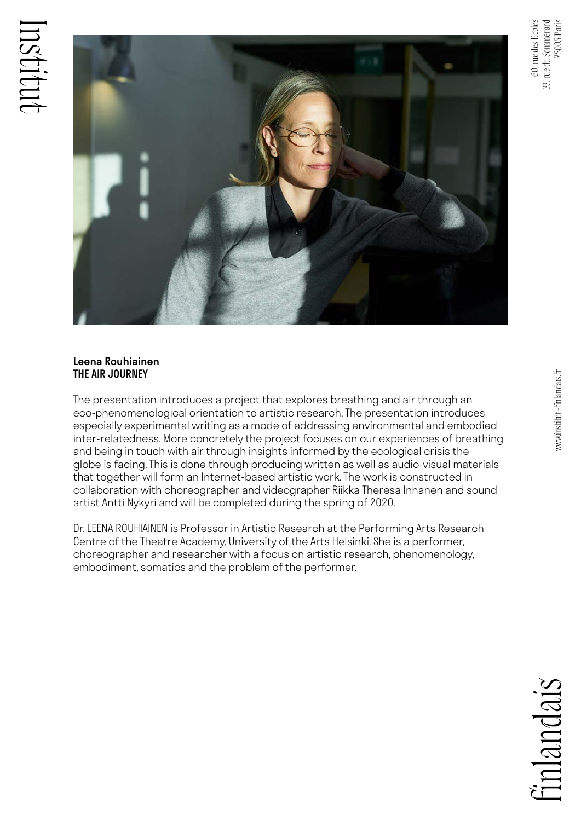



## Leena Rouhiainen THE AIR JOURNEY

The presentation introduces a project that explores breathing and air through an eco-phenomenological orientation to artistic research. The presentation introduces especially experimental writing as a mode of addressing environmental and embodied inter-relatedness. More concretely the project focuses on our experiences of breathing and being in touch with air through insights informed by the ecological crisis the globe is facing. This is done through producing written as well as audio-visual materials that together will form an Internet-based artistic work. The work is constructed in collaboration with choreographer and videographer Riikka Theresa Innanen and sound artist Antti Nykyri and will be completed during the spring of 2020.

Dr. LEENA ROUHIAINEN is Professor in Artistic Research at the Performing Arts Research Centre of the Theatre Academy, University of the Arts Helsinki. She is a performer, choreographer and researcher with a focus on artistic research, phenomenology, embodiment, somatics and the problem of the performer.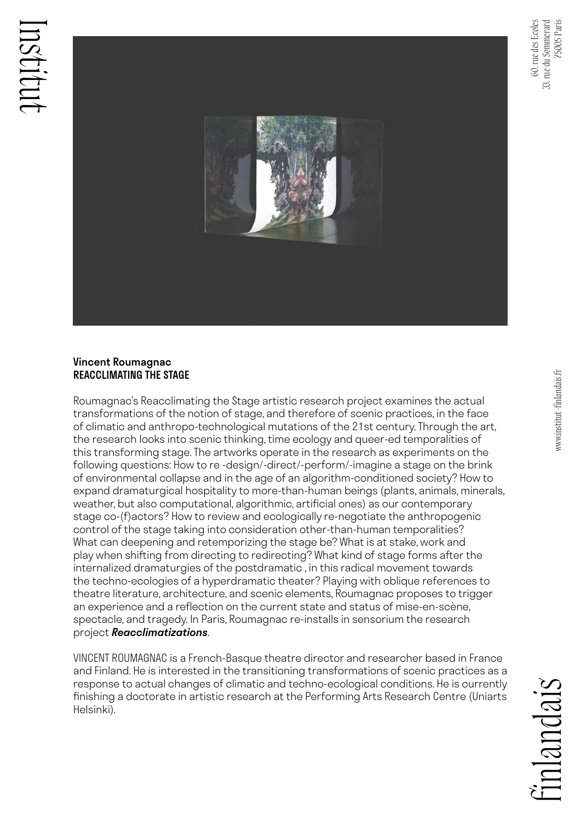

#### Vincent Roumagnac REACCLIMATING THE STAGE

Roumagnac's Reacclimating the Stage artistic research project examines the actual transformations of the notion of stage, and therefore of scenic practices, in the face of climatic and anthropo-technological mutations of the 21st century. Through the art, the research looks into scenic thinking, time ecology and queer-ed temporalities of this transforming stage. The artworks operate in the research as experiments on the following questions: How to re -design/-direct/-perform/-imagine a stage on the brink of environmental collapse and in the age of an algorithm-conditioned society? How to expand dramaturgical hospitality to more-than-human beings (plants, animals, minerals, weather, but also computational, algorithmic, artificial ones) as our contemporary stage co-(f)actors? How to review and ecologically re-negotiate the anthropogenic control of the stage taking into consideration other-than-human temporalities? What can deepening and retemporizing the stage be? What is at stake, work and play when shifting from directing to redirecting? What kind of stage forms after the internalized dramaturgies of the postdramatic , in this radical movement towards the techno-ecologies of a hyperdramatic theater? Playing with oblique references to theatre literature, architecture, and scenic elements, Roumagnac proposes to trigger an experience and a reflection on the current state and status of mise-en-scène, spectacle, and tragedy. In Paris, Roumagnac re-installs in sensorium the research project *Reacclimatizations*.

VINCENT ROUMAGNAC is a French-Basque theatre director and researcher based in France and Finland. He is interested in the transitioning transformations of scenic practices as a response to actual changes of climatic and techno-ecological conditions. He is currently finishing a doctorate in artistic research at the Performing Arts Research Centre (Uniarts Helsinki).

 $n$ ancais